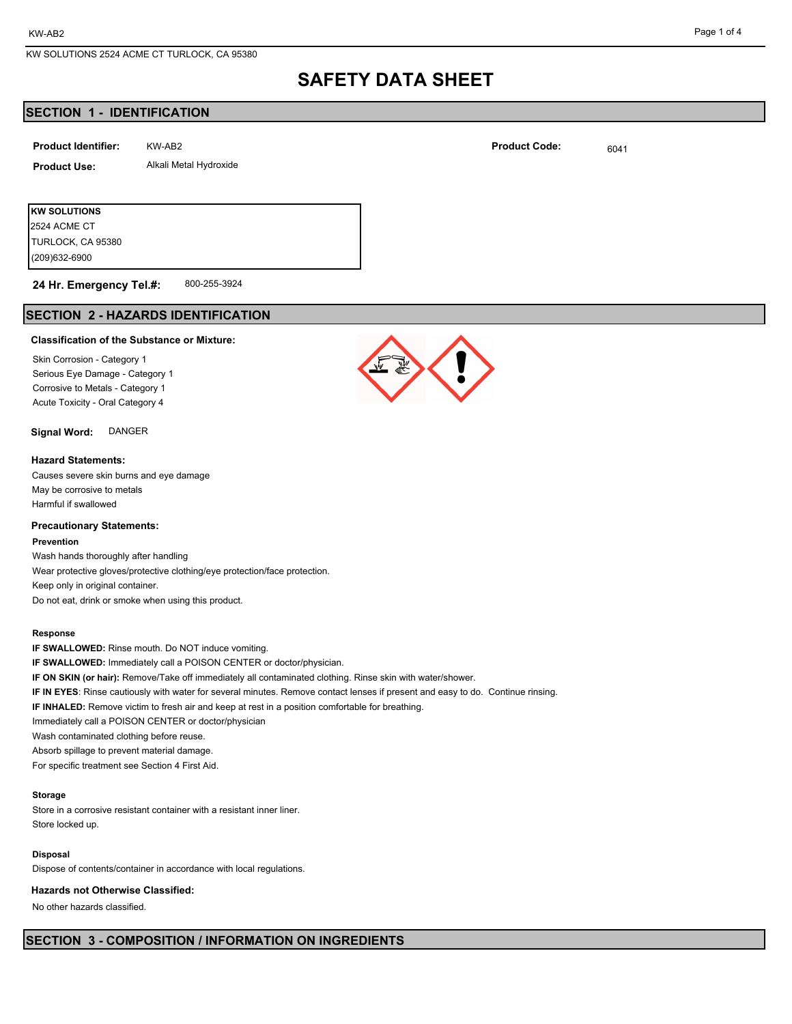#### Page 1 of 4

## **SAFETY DATA SHEET**

## **SECTION 1 - IDENTIFICATION**

| <b>Product Identifier:</b> | KW-AB2                 | <b>Product Code:</b> | 6041 |
|----------------------------|------------------------|----------------------|------|
| <b>Product Use:</b>        | Alkali Metal Hydroxide |                      |      |
|                            |                        |                      |      |

(209)632-6900 TURLOCK, CA 95380 2524 ACME CT

**KW SOLUTIONS**

#### 800-255-3924 **24 Hr. Emergency Tel.#:**

## **SECTION 2 - HAZARDS IDENTIFICATION**

#### **Classification of the Substance or Mixture:**

Skin Corrosion - Category 1 Serious Eye Damage - Category 1 Corrosive to Metals - Category 1 Acute Toxicity - Oral Category 4

## **Signal Word:** DANGER

### **Hazard Statements:**

Causes severe skin burns and eye damage May be corrosive to metals Harmful if swallowed

## **Precautionary Statements:**

### **Prevention**

Wash hands thoroughly after handling Wear protective gloves/protective clothing/eye protection/face protection. Keep only in original container. Do not eat, drink or smoke when using this product.

#### **Response**

**IF SWALLOWED:** Rinse mouth. Do NOT induce vomiting. **IF SWALLOWED:** Immediately call a POISON CENTER or doctor/physician. **IF ON SKIN (or hair):** Remove/Take off immediately all contaminated clothing. Rinse skin with water/shower. **IF IN EYES**: Rinse cautiously with water for several minutes. Remove contact lenses if present and easy to do. Continue rinsing. **IF INHALED:** Remove victim to fresh air and keep at rest in a position comfortable for breathing. Immediately call a POISON CENTER or doctor/physician Wash contaminated clothing before reuse. Absorb spillage to prevent material damage. For specific treatment see Section 4 First Aid.

## **Storage**

Store in a corrosive resistant container with a resistant inner liner. Store locked up.

## **Disposal**

Dispose of contents/container in accordance with local regulations.

#### **Hazards not Otherwise Classified:**

No other hazards classified.



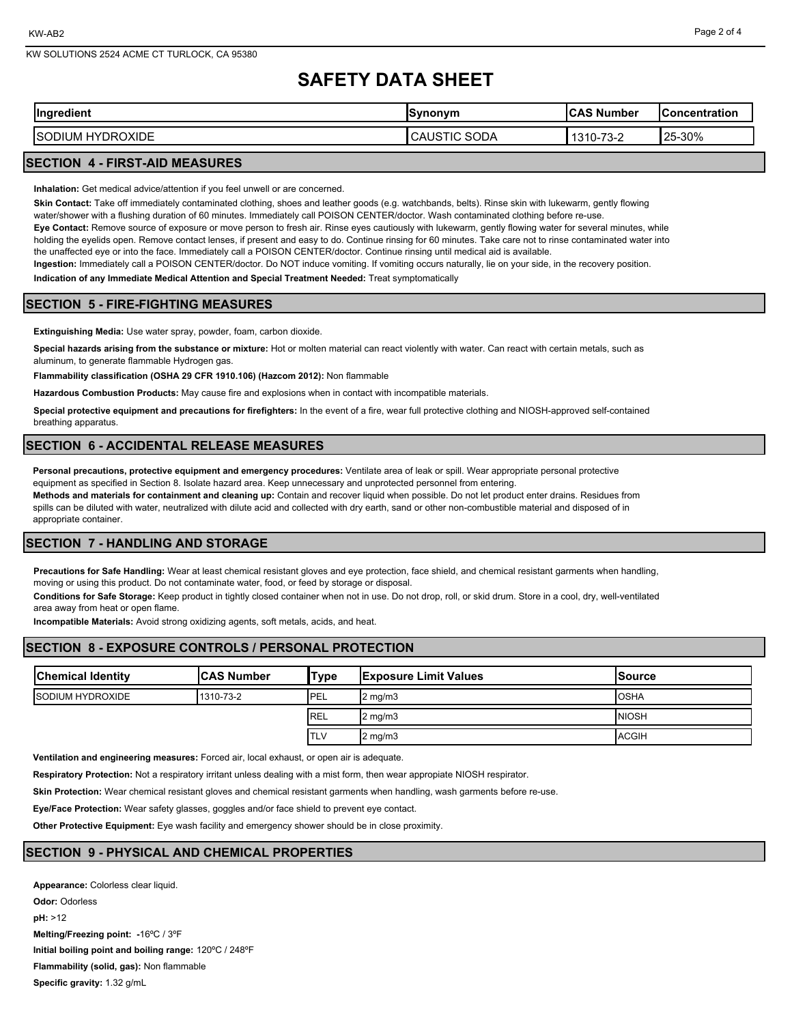# **SAFETY DATA SHEET**

| $\sim$                                  | <u>inonum</u> | ົ^S Number                                      | <b>Concentration</b> |
|-----------------------------------------|---------------|-------------------------------------------------|----------------------|
| Ingredient                              | ,,,           | ، ب                                             |                      |
| <b>DROXIDE</b><br>HY<br>IUM<br>຺຺຺ບປ∐™″ | SODA<br>CAUS  | $\overline{\phantom{a}}$<br>1311<br>ے-כ '<br>U- | 25-30%               |

## **SECTION 4 - FIRST-AID MEASURES**

**Inhalation:** Get medical advice/attention if you feel unwell or are concerned.

**Skin Contact:** Take off immediately contaminated clothing, shoes and leather goods (e.g. watchbands, belts). Rinse skin with lukewarm, gently flowing water/shower with a flushing duration of 60 minutes. Immediately call POISON CENTER/doctor. Wash contaminated clothing before re-use.

**Eye Contact:** Remove source of exposure or move person to fresh air. Rinse eyes cautiously with lukewarm, gently flowing water for several minutes, while holding the eyelids open. Remove contact lenses, if present and easy to do. Continue rinsing for 60 minutes. Take care not to rinse contaminated water into the unaffected eye or into the face. Immediately call a POISON CENTER/doctor. Continue rinsing until medical aid is available.

**Ingestion:** Immediately call a POISON CENTER/doctor. Do NOT induce vomiting. If vomiting occurs naturally, lie on your side, in the recovery position. **Indication of any Immediate Medical Attention and Special Treatment Needed:** Treat symptomatically

## **SECTION 5 - FIRE-FIGHTING MEASURES**

**Extinguishing Media:** Use water spray, powder, foam, carbon dioxide.

**Special hazards arising from the substance or mixture:** Hot or molten material can react violently with water. Can react with certain metals, such as aluminum, to generate flammable Hydrogen gas.

**Flammability classification (OSHA 29 CFR 1910.106) (Hazcom 2012):** Non flammable

**Hazardous Combustion Products:** May cause fire and explosions when in contact with incompatible materials.

**Special protective equipment and precautions for firefighters:** In the event of a fire, wear full protective clothing and NIOSH-approved self-contained breathing apparatus.

## **SECTION 6 - ACCIDENTAL RELEASE MEASURES**

**Personal precautions, protective equipment and emergency procedures:** Ventilate area of leak or spill. Wear appropriate personal protective equipment as specified in Section 8. Isolate hazard area. Keep unnecessary and unprotected personnel from entering.

**Methods and materials for containment and cleaning up:** Contain and recover liquid when possible. Do not let product enter drains. Residues from spills can be diluted with water, neutralized with dilute acid and collected with dry earth, sand or other non-combustible material and disposed of in appropriate container.

## **SECTION 7 - HANDLING AND STORAGE**

**Precautions for Safe Handling:** Wear at least chemical resistant gloves and eye protection, face shield, and chemical resistant garments when handling, moving or using this product. Do not contaminate water, food, or feed by storage or disposal.

**Conditions for Safe Storage:** Keep product in tightly closed container when not in use. Do not drop, roll, or skid drum. Store in a cool, dry, well-ventilated area away from heat or open flame.

**Incompatible Materials:** Avoid strong oxidizing agents, soft metals, acids, and heat.

## **SECTION 8 - EXPOSURE CONTROLS / PERSONAL PROTECTION**

| <b>Chemical Identity</b> | <b>ICAS Number</b> | 'Type       | <b>Exposure Limit Values</b> | lSource       |
|--------------------------|--------------------|-------------|------------------------------|---------------|
| <b>ISODIUM HYDROXIDE</b> | 1310-73-2          | <b>IPEL</b> | $2 \text{ mg/m}$             | <b>IOSHA</b>  |
|                          |                    | <b>IREL</b> | $2 \text{ mg/m}$             | <b>INIOSH</b> |
|                          |                    | <b>ITLV</b> | $2 \text{ mg/m}$             | <b>ACGIH</b>  |

**Ventilation and engineering measures:** Forced air, local exhaust, or open air is adequate.

**Respiratory Protection:** Not a respiratory irritant unless dealing with a mist form, then wear appropiate NIOSH respirator.

**Skin Protection:** Wear chemical resistant gloves and chemical resistant garments when handling, wash garments before re-use.

**Eye/Face Protection:** Wear safety glasses, goggles and/or face shield to prevent eye contact.

**Other Protective Equipment:** Eye wash facility and emergency shower should be in close proximity.

## **SECTION 9 - PHYSICAL AND CHEMICAL PROPERTIES**

**Appearance:** Colorless clear liquid. **Odor:** Odorless **pH:** >12 **Melting/Freezing point: -**16ºC / 3ºF **Initial boiling point and boiling range:** 120ºC / 248ºF **Flammability (solid, gas):** Non flammable **Specific gravity:** 1.32 g/mL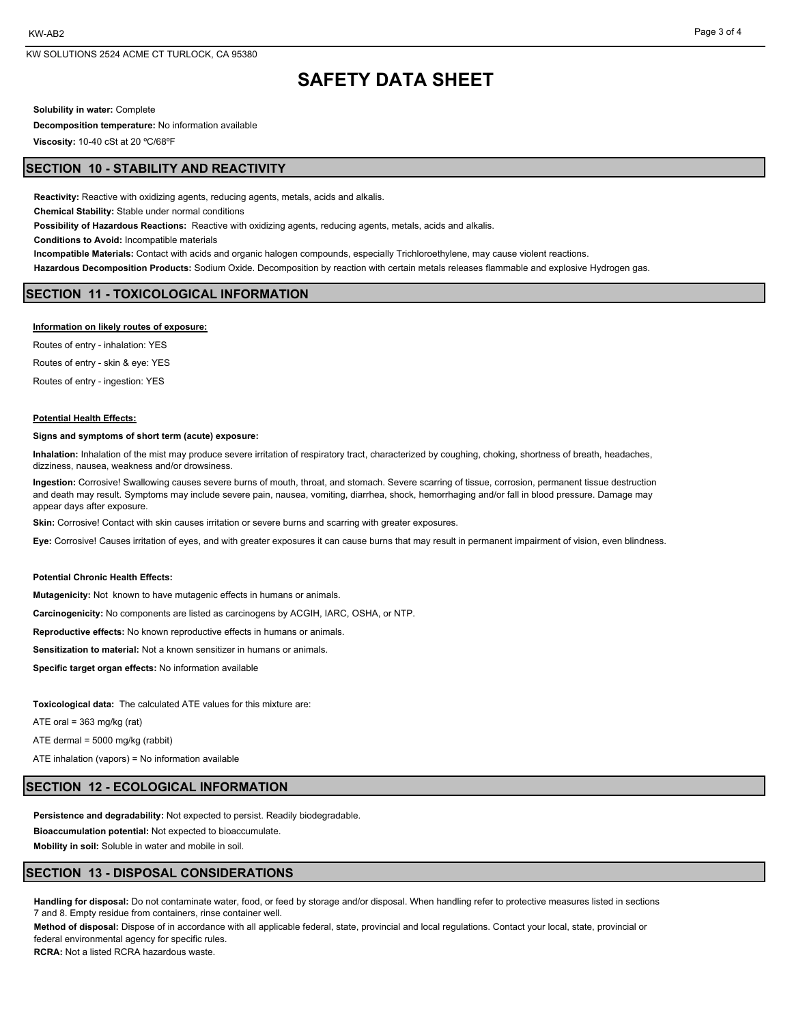## **SAFETY DATA SHEET**

**Solubility in water:** Complete

**Decomposition temperature:** No information available

**Viscosity:** 10-40 cSt at 20 ºC/68ºF

## **SECTION 10 - STABILITY AND REACTIVITY**

**Reactivity:** Reactive with oxidizing agents, reducing agents, metals, acids and alkalis.

**Chemical Stability:** Stable under normal conditions

**Possibility of Hazardous Reactions:** Reactive with oxidizing agents, reducing agents, metals, acids and alkalis.

**Conditions to Avoid:** Incompatible materials

**Incompatible Materials:** Contact with acids and organic halogen compounds, especially Trichloroethylene, may cause violent reactions.

**Hazardous Decomposition Products:** Sodium Oxide. Decomposition by reaction with certain metals releases flammable and explosive Hydrogen gas.

## **SECTION 11 - TOXICOLOGICAL INFORMATION**

#### **Information on likely routes of exposure:**

Routes of entry - inhalation: YES Routes of entry - skin & eye: YES Routes of entry - ingestion: YES

#### **Potential Health Effects:**

#### **Signs and symptoms of short term (acute) exposure:**

**Inhalation:** Inhalation of the mist may produce severe irritation of respiratory tract, characterized by coughing, choking, shortness of breath, headaches, dizziness, nausea, weakness and/or drowsiness.

**Ingestion:** Corrosive! Swallowing causes severe burns of mouth, throat, and stomach. Severe scarring of tissue, corrosion, permanent tissue destruction and death may result. Symptoms may include severe pain, nausea, vomiting, diarrhea, shock, hemorrhaging and/or fall in blood pressure. Damage may appear days after exposure.

**Skin:** Corrosive! Contact with skin causes irritation or severe burns and scarring with greater exposures.

**Eye:** Corrosive! Causes irritation of eyes, and with greater exposures it can cause burns that may result in permanent impairment of vision, even blindness.

#### **Potential Chronic Health Effects:**

**Mutagenicity:** Not known to have mutagenic effects in humans or animals.

**Carcinogenicity:** No components are listed as carcinogens by ACGIH, IARC, OSHA, or NTP.

**Reproductive effects:** No known reproductive effects in humans or animals.

**Sensitization to material:** Not a known sensitizer in humans or animals.

**Specific target organ effects:** No information available

**Toxicological data:** The calculated ATE values for this mixture are:

ATE oral =  $363$  mg/kg (rat)

ATE dermal = 5000 mg/kg (rabbit)

ATE inhalation (vapors) = No information available

### **SECTION 12 - ECOLOGICAL INFORMATION**

**Persistence and degradability:** Not expected to persist. Readily biodegradable.

**Bioaccumulation potential:** Not expected to bioaccumulate.

**Mobility in soil:** Soluble in water and mobile in soil.

### **SECTION 13 - DISPOSAL CONSIDERATIONS**

**Handling for disposal:** Do not contaminate water, food, or feed by storage and/or disposal. When handling refer to protective measures listed in sections 7 and 8. Empty residue from containers, rinse container well.

**Method of disposal:** Dispose of in accordance with all applicable federal, state, provincial and local regulations. Contact your local, state, provincial or federal environmental agency for specific rules.

**RCRA:** Not a listed RCRA hazardous waste.